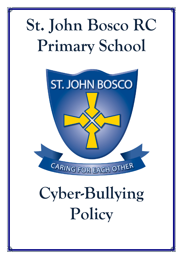# **St. John Bosco RC Primary School**



# **Cyber-Bullying Policy**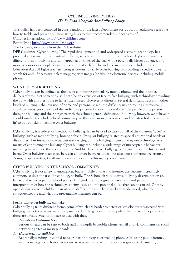## **CYBER-BULLYING POLICY:**  (To Be Read Alongside Anti-Bullying Policy)

This policy has been compiled in consideration of the latest Department for Education guidance regarding how to tackle and prevent bullying, using links to their recommended support sites of:

Childnet International [http://www.childnet.com](http://www.childnet.com/)

Beatbullying [http://www.beatbullying.org](http://www.beatbullying.org/)

The following excerpt is from the DFE website:

**DFE Guidance**: Cyber-bullying "The rapid development of, and widespread access to, technology has provided a new medium for 'virtual' bullying, which can occur in or outside school. Cyber-bullying is a different form of bullying and can happen at all times of the day, with a potentially bigger audience, and more accessories as people forward on content at a click. The wider search powers included in the Education Act 2011 give teachers stronger powers to tackle cyber-bullying by providing a specific power to search for and, if necessary, delete inappropriate images (or files) on electronic devices, including mobile phones.

## **WHAT IS CYBERBULLYING?**

Cyber-bullying can be defined as the use of computing particularly mobile phones and the internet, deliberately to upset someone else. It can be an extension of face to face bullying, with technology providing the bully with another route to harass their target. However, it differs in several significant ways from other kinds of bullying: - the invasion of home and personal space - the difficulty in controlling electronically circulated messages - the size of the audience - perceived anonymity - and even the profile of the person doing the bullying and their target As with the schools general definition of bullying, however, we believe it should involve the whole school community; in this way, awareness is raised and our stakeholders can 'buyin' to our policies of tackling cyber-bullying.

Cyber-bullying is a sub-set or 'method' of bullying. It can be used to carry out all of the different 'types' of bullying (such as racist bullying, homophobic bullying, or bullying related to special educational needs or disabilities), but instead of the perpetrator carrying out the bullying in person, they use technology as a means of conducting the bullying. Cyber-bullying can include a wide range of unacceptable behaviors, including harassment, threats and insults. And like face to face bullying, is designed to cause distress and harm. Cyber-bullying takes place between children; between adults; but also across different age groups. Young people can target staff members or other adults through cyber-bullying.

# **CYBER-BULLYING IN THE SCHOOL COMMUNITY:**

Cyber-bullying is not a new phenomenon, but as mobile phone and internet use become increasingly common, so does the use of technology to bully. The School already address bullying, discrimination and behavioral issues as part of school policy. This guidance is designed to assist staff and parents in the interpretation of how the technology is being used, and the potential abuse that can be caused. Only by open discussion with children parents and staff can the issue be shared and understood, what the consequences are and what the preventative measures can be.

## **Forms that cyber-bullying can take:**

Cyber-bullying takes different forms, some of which are harder to detect or less obviously associated with bullying than others; some are already included in the general bullying policy that the school operates, and there are already systems in place to deal with these:

## 1. Threats and intimidation:

Serious threats can be sent to both staff and pupils by mobile phone, e-mail and via comments on social networking sites or message boards.

## 2. Harassment or stalking:

Repeatedly sending unwanted texts or instant messages, or making phone calls; using public forums, such as message boards or chat rooms, to repeatedly harass or to post derogatory or defamatory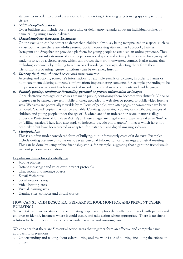statements in order to provoke a response from their target; tracking targets using spyware; sending viruses.

## 3. Vilification/Defamation:

Cyber-bullying can include posting upsetting or defamatory remarks about an individual online, or name calling using a mobile device.

## 4. Ostracising/Peer Rejection/Exclusion:

Online exclusion can be harder to detect than children obviously being marginalized in a space, such as a classroom, where there are adults present. Social networking sites such as Facebook, Twitter, Instagram and Snapchat etc provide a platform for young people to establish an online presence. They can be an important extension of a young persons social space and activity. It is possible for a group of students to set up a closed group, which can protect them from unwanted contact. It also means that excluding someone – by refusing to return or acknowledge messages, deleting them from their friendship lists or using 'ignore' functions - can be extremely hurtful.

#### 5. Identity theft, unauthorized access and impersonation:

Accessing and copying someone's information, for example e-mails or pictures, in order to harass or humiliate them; deleting someone's information; impersonating someone, for example pretending to be the person whose account has been hacked in order to post abusive comments and bad language.

#### 6. Publicly posting, sending or forwarding personal or private information or images:

Once electronic messages or pictures are made public, containing them becomes very difficult. Video or pictures can be passed between mobile phones, uploaded to web sites or posted to public video hosting sites. Websites are potentially viewable by millions of people; even after pages or comments have been removed, 'cached' copies may still be available. Creating, possessing, copying or distributing images of children and young people under the age of 18 which are of an indecent or sexual nature is illegal under the Protection of Children Act 1978. These images are illegal even if they were taken in 'fun' or by 'willing' parties. These laws also apply to indecent 'pseudo-photographs' – images which have not been taken but have been created or adapted, for instance using digital imaging software.

## 7. Manipulation:

This is an often under-considered form of bullying, but unfortunately cases of it do exist. Examples include outing pressure on someone to reveal personal information or to arrange a physical meeting. This can be done by using online friendship status, for example, suggesting that a genuine friend would give out personal information.

## **Popular mediums for cyber-bullying:**

- Mobile phones;
- Instant messenger and voice over internet protocols;
- Chat rooms and message boards;
- E-mail Web-cams;
- Social network sites;
- Video hosting sites;
- Virtual learning sites;
- Gaming sites, consoles and virtual worlds

## **HOW CAN ST JOHN BOSCO R.C. PRIMARY SCHOOL MONITOR AND PREVENT CYBER-BULLYING?**

We will take a proactive stance on co-ordinating responsibility for cyber-bullying and work with parents and children to identify instances where it could occur, and take action where appropriate. There is no single solution to the problem; it needs to be regarded as a live and on-going issue.

We consider that there are 5 essential action areas that together form an effective and comprehensive approach to prevention:

1. Understanding and talking about cyberbullying and the wide issue of bullying, including the effects on others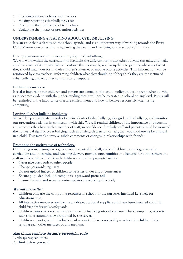- 2. Updating existing policies and practices
- 3. Making reporting cyber-bullying easier
- 4. Promoting the positive use of technology
- 5. Evaluating the impact of prevention activities

## **UNDERSTANDING & TALKING ABOUT CYBER-BULLYING:**

It is an issue that is already on the school agenda, and is an important way of working towards the Every Child Matters outcomes, and safeguarding the health and wellbeing of the school community.

#### **Promote awareness and understanding about cyber-bullying:**

We will work within the curriculum to highlight the different forms that cyber-bullying can take, and make children aware of its impact. We will enforce this message by regular updates to parents, advising of what they should watch out for in their children's internet or mobile phone activities. This information will be reinforced by class teachers, informing children what they should do if they think they are the victim of cyber-bullying, and who they can turn to for support.

#### **Publishing sanctions:**

It is also important that children and parents are alerted to the school policy on dealing with cyber-bullying as it becomes evident, with the understanding that it will not be tolerated in school on any level. Pupils will be reminded of the importance of a safe environment and how to behave responsibly when using computing.

#### **Logging all cyber-bullying incidents:**

We will keep appropriate records of any incidents of cyber-bullying, alongside wider bullying, and monitor our prevention activities in connection with this. We will remind children of the importance of discussing any concerns they have with a member of staff, in confidence. Similarly staff and parents should be aware of the non-verbal signs of cyber-bullying, such as anxiety, depression or fear, that would otherwise be unusual in a child. This may also involve subtle comments or changes in relationships with friends.

## **Promoting the positive use of technology:**

Computing is increasingly recognised as an essential life skill, and embedding technology across the curriculum and in learning and teaching delivery provides opportunities and benefits for both learners and staff members. We will work with children and staff to promote e-safety:

- Never give passwords to other people
- Change passwords regularly
- Do not upload images of children to websites under any circumstances
- Ensure pupil data held on computers is password protected
- Ensure firewalls and security centre updates are working effectively.

## We will ensure that:

- Children only use the computing resources in school for the purposes intended i.e. solely for educational use.
- All interactive resources are from reputable educational suppliers and have been installed with full child-friendly firewalls/safeguards.
- Children cannot access chat rooms or social networking sites when using school computers; access to such sites is automatically prohibited by the server.
- Children are not given individual e-mail accounts; there is no facility in school for children to be sending each other messages by any medium.

# Staff should reinforce the anti-cyberbullying code:

1. Always respect others

2. Think before you send